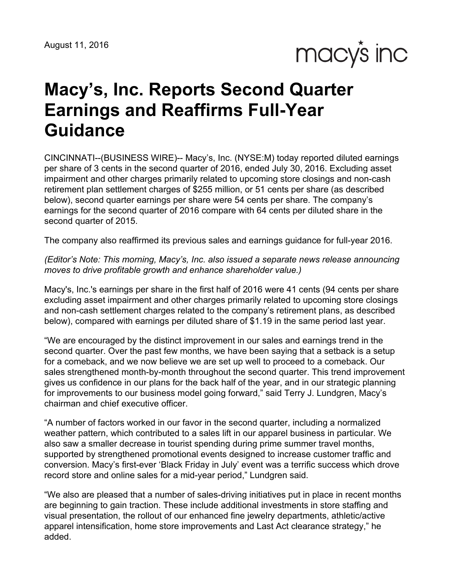macy's inc

# **Macy's, Inc. Reports Second Quarter Earnings and Reaffirms Full-Year Guidance**

CINCINNATI--(BUSINESS WIRE)-- Macy's, Inc. (NYSE:M) today reported diluted earnings per share of 3 cents in the second quarter of 2016, ended July 30, 2016. Excluding asset impairment and other charges primarily related to upcoming store closings and non-cash retirement plan settlement charges of \$255 million, or 51 cents per share (as described below), second quarter earnings per share were 54 cents per share. The company's earnings for the second quarter of 2016 compare with 64 cents per diluted share in the second quarter of 2015.

The company also reaffirmed its previous sales and earnings guidance for full-year 2016.

*(Editor's Note: This morning, Macy's, Inc. also issued a separate news release announcing moves to drive profitable growth and enhance shareholder value.)*

Macy's, Inc.'s earnings per share in the first half of 2016 were 41 cents (94 cents per share excluding asset impairment and other charges primarily related to upcoming store closings and non-cash settlement charges related to the company's retirement plans, as described below), compared with earnings per diluted share of \$1.19 in the same period last year.

"We are encouraged by the distinct improvement in our sales and earnings trend in the second quarter. Over the past few months, we have been saying that a setback is a setup for a comeback, and we now believe we are set up well to proceed to a comeback. Our sales strengthened month-by-month throughout the second quarter. This trend improvement gives us confidence in our plans for the back half of the year, and in our strategic planning for improvements to our business model going forward," said Terry J. Lundgren, Macy's chairman and chief executive officer.

"A number of factors worked in our favor in the second quarter, including a normalized weather pattern, which contributed to a sales lift in our apparel business in particular. We also saw a smaller decrease in tourist spending during prime summer travel months, supported by strengthened promotional events designed to increase customer traffic and conversion. Macy's first-ever 'Black Friday in July' event was a terrific success which drove record store and online sales for a mid-year period," Lundgren said.

"We also are pleased that a number of sales-driving initiatives put in place in recent months are beginning to gain traction. These include additional investments in store staffing and visual presentation, the rollout of our enhanced fine jewelry departments, athletic/active apparel intensification, home store improvements and Last Act clearance strategy," he added.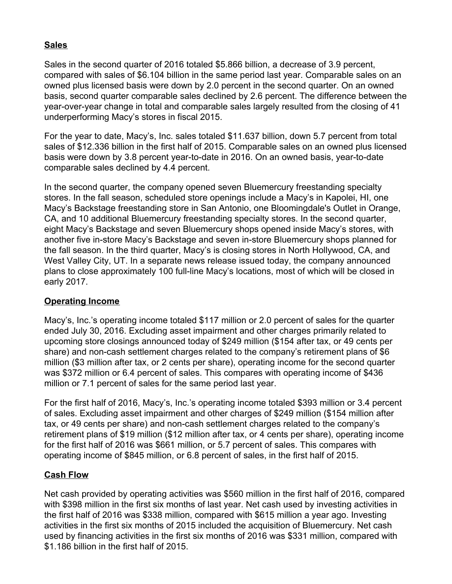## **Sales**

Sales in the second quarter of 2016 totaled \$5.866 billion, a decrease of 3.9 percent, compared with sales of \$6.104 billion in the same period last year. Comparable sales on an owned plus licensed basis were down by 2.0 percent in the second quarter. On an owned basis, second quarter comparable sales declined by 2.6 percent. The difference between the year-over-year change in total and comparable sales largely resulted from the closing of 41 underperforming Macy's stores in fiscal 2015.

For the year to date, Macy's, Inc. sales totaled \$11.637 billion, down 5.7 percent from total sales of \$12.336 billion in the first half of 2015. Comparable sales on an owned plus licensed basis were down by 3.8 percent year-to-date in 2016. On an owned basis, year-to-date comparable sales declined by 4.4 percent.

In the second quarter, the company opened seven Bluemercury freestanding specialty stores. In the fall season, scheduled store openings include a Macy's in Kapolei, HI, one Macy's Backstage freestanding store in San Antonio, one Bloomingdale's Outlet in Orange, CA, and 10 additional Bluemercury freestanding specialty stores. In the second quarter, eight Macy's Backstage and seven Bluemercury shops opened inside Macy's stores, with another five in-store Macy's Backstage and seven in-store Bluemercury shops planned for the fall season. In the third quarter, Macy's is closing stores in North Hollywood, CA, and West Valley City, UT. In a separate news release issued today, the company announced plans to close approximately 100 full-line Macy's locations, most of which will be closed in early 2017.

## **Operating Income**

Macy's, Inc.'s operating income totaled \$117 million or 2.0 percent of sales for the quarter ended July 30, 2016. Excluding asset impairment and other charges primarily related to upcoming store closings announced today of \$249 million (\$154 after tax, or 49 cents per share) and non-cash settlement charges related to the company's retirement plans of \$6 million (\$3 million after tax, or 2 cents per share), operating income for the second quarter was \$372 million or 6.4 percent of sales. This compares with operating income of \$436 million or 7.1 percent of sales for the same period last year.

For the first half of 2016, Macy's, Inc.'s operating income totaled \$393 million or 3.4 percent of sales. Excluding asset impairment and other charges of \$249 million (\$154 million after tax, or 49 cents per share) and non-cash settlement charges related to the company's retirement plans of \$19 million (\$12 million after tax, or 4 cents per share), operating income for the first half of 2016 was \$661 million, or 5.7 percent of sales. This compares with operating income of \$845 million, or 6.8 percent of sales, in the first half of 2015.

## **Cash Flow**

Net cash provided by operating activities was \$560 million in the first half of 2016, compared with \$398 million in the first six months of last year. Net cash used by investing activities in the first half of 2016 was \$338 million, compared with \$615 million a year ago. Investing activities in the first six months of 2015 included the acquisition of Bluemercury. Net cash used by financing activities in the first six months of 2016 was \$331 million, compared with \$1.186 billion in the first half of 2015.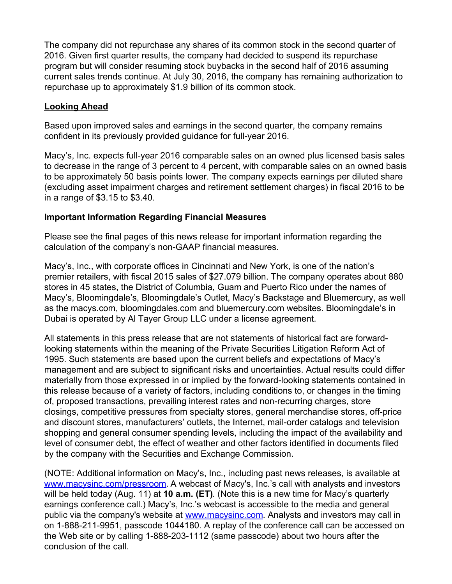The company did not repurchase any shares of its common stock in the second quarter of 2016. Given first quarter results, the company had decided to suspend its repurchase program but will consider resuming stock buybacks in the second half of 2016 assuming current sales trends continue. At July 30, 2016, the company has remaining authorization to repurchase up to approximately \$1.9 billion of its common stock.

## **Looking Ahead**

Based upon improved sales and earnings in the second quarter, the company remains confident in its previously provided guidance for full-year 2016.

Macy's, Inc. expects full-year 2016 comparable sales on an owned plus licensed basis sales to decrease in the range of 3 percent to 4 percent, with comparable sales on an owned basis to be approximately 50 basis points lower. The company expects earnings per diluted share (excluding asset impairment charges and retirement settlement charges) in fiscal 2016 to be in a range of \$3.15 to \$3.40.

## **Important Information Regarding Financial Measures**

Please see the final pages of this news release for important information regarding the calculation of the company's non-GAAP financial measures.

Macy's, Inc., with corporate offices in Cincinnati and New York, is one of the nation's premier retailers, with fiscal 2015 sales of \$27.079 billion. The company operates about 880 stores in 45 states, the District of Columbia, Guam and Puerto Rico under the names of Macy's, Bloomingdale's, Bloomingdale's Outlet, Macy's Backstage and Bluemercury, as well as the macys.com, bloomingdales.com and bluemercury.com websites. Bloomingdale's in Dubai is operated by Al Tayer Group LLC under a license agreement.

All statements in this press release that are not statements of historical fact are forwardlooking statements within the meaning of the Private Securities Litigation Reform Act of 1995. Such statements are based upon the current beliefs and expectations of Macy's management and are subject to significant risks and uncertainties. Actual results could differ materially from those expressed in or implied by the forward-looking statements contained in this release because of a variety of factors, including conditions to, or changes in the timing of, proposed transactions, prevailing interest rates and non-recurring charges, store closings, competitive pressures from specialty stores, general merchandise stores, off-price and discount stores, manufacturers' outlets, the Internet, mail-order catalogs and television shopping and general consumer spending levels, including the impact of the availability and level of consumer debt, the effect of weather and other factors identified in documents filed by the company with the Securities and Exchange Commission.

(NOTE: Additional information on Macy's, Inc., including past news releases, is available at [www.macysinc.com/pressroom](http://www.macysinc.com/pressroom). A webcast of Macy's, Inc.'s call with analysts and investors will be held today (Aug. 11) at **10 a.m. (ET)**. (Note this is a new time for Macy's quarterly earnings conference call.) Macy's, Inc.'s webcast is accessible to the media and general public via the company's website at [www.macysinc.com](http://www.macysinc.com). Analysts and investors may call in on 1-888-211-9951, passcode 1044180. A replay of the conference call can be accessed on the Web site or by calling 1-888-203-1112 (same passcode) about two hours after the conclusion of the call.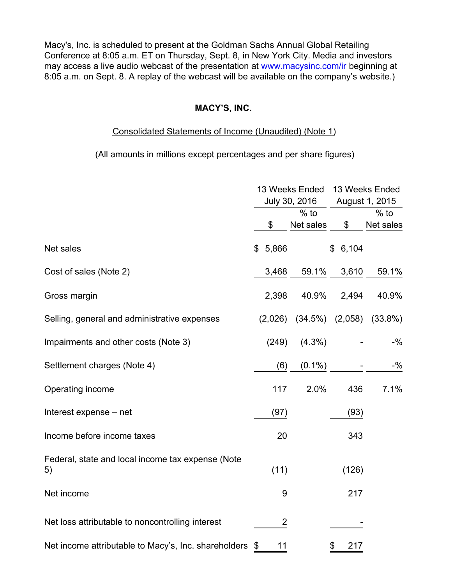Macy's, Inc. is scheduled to present at the Goldman Sachs Annual Global Retailing Conference at 8:05 a.m. ET on Thursday, Sept. 8, in New York City. Media and investors may access a live audio webcast of the presentation at [www.macysinc.com/ir](http://www.macysinc.com/ir) beginning at 8:05 a.m. on Sept. 8. A replay of the webcast will be available on the company's website.)

#### **MACY'S, INC.**

### Consolidated Statements of Income (Unaudited) (Note 1)

(All amounts in millions except percentages and per share figures)

|                                                         | 13 Weeks Ended<br>July 30, 2016 |                     | 13 Weeks Ended<br>August 1, 2015 |                     |  |
|---------------------------------------------------------|---------------------------------|---------------------|----------------------------------|---------------------|--|
|                                                         | \$                              | $%$ to<br>Net sales | \$                               | $%$ to<br>Net sales |  |
| Net sales                                               | 5,866<br>\$                     |                     | \$6,104                          |                     |  |
| Cost of sales (Note 2)                                  | 3,468                           | 59.1%               | 3,610                            | 59.1%               |  |
| Gross margin                                            | 2,398                           | 40.9%               | 2,494                            | 40.9%               |  |
| Selling, general and administrative expenses            | (2,026)                         | (34.5%)             | (2,058)                          | $(33.8\%)$          |  |
| Impairments and other costs (Note 3)                    | (249)                           | $(4.3\%)$           |                                  | $-$ %               |  |
| Settlement charges (Note 4)                             | (6)                             | $(0.1\%)$           |                                  | $-$ %               |  |
| Operating income                                        | 117                             | 2.0%                | 436                              | 7.1%                |  |
| Interest expense - net                                  | (97)                            |                     | (93)                             |                     |  |
| Income before income taxes                              | 20                              |                     | 343                              |                     |  |
| Federal, state and local income tax expense (Note<br>5) | (11)                            |                     | (126)                            |                     |  |
| Net income                                              | 9                               |                     | 217                              |                     |  |
| Net loss attributable to noncontrolling interest        | $\overline{2}$                  |                     |                                  |                     |  |
| Net income attributable to Macy's, Inc. shareholders \$ | 11                              |                     | \$<br>217                        |                     |  |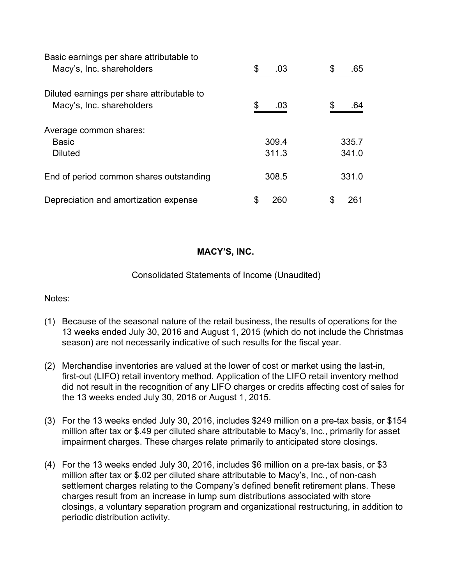| Basic earnings per share attributable to<br>Macy's, Inc. shareholders   | \$<br>.03  | \$<br>.65 |
|-------------------------------------------------------------------------|------------|-----------|
| Diluted earnings per share attributable to<br>Macy's, Inc. shareholders | \$.<br>.03 | .64       |
| Average common shares:                                                  |            |           |
| <b>Basic</b>                                                            | 309.4      | 335.7     |
| <b>Diluted</b>                                                          | 311.3      | 341.0     |
| End of period common shares outstanding                                 | 308.5      | 331.0     |
| Depreciation and amortization expense                                   | S<br>260   | 261       |

## **MACY'S, INC.**

## Consolidated Statements of Income (Unaudited)

Notes:

- (1) Because of the seasonal nature of the retail business, the results of operations for the 13 weeks ended July 30, 2016 and August 1, 2015 (which do not include the Christmas season) are not necessarily indicative of such results for the fiscal year.
- (2) Merchandise inventories are valued at the lower of cost or market using the last-in, first-out (LIFO) retail inventory method. Application of the LIFO retail inventory method did not result in the recognition of any LIFO charges or credits affecting cost of sales for the 13 weeks ended July 30, 2016 or August 1, 2015.
- (3) For the 13 weeks ended July 30, 2016, includes \$249 million on a pre-tax basis, or \$154 million after tax or \$.49 per diluted share attributable to Macy's, Inc., primarily for asset impairment charges. These charges relate primarily to anticipated store closings.
- (4) For the 13 weeks ended July 30, 2016, includes \$6 million on a pre-tax basis, or \$3 million after tax or \$.02 per diluted share attributable to Macy's, Inc., of non-cash settlement charges relating to the Company's defined benefit retirement plans. These charges result from an increase in lump sum distributions associated with store closings, a voluntary separation program and organizational restructuring, in addition to periodic distribution activity.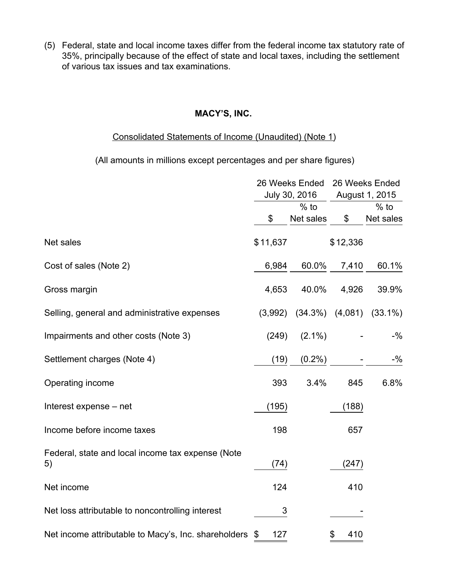(5) Federal, state and local income taxes differ from the federal income tax statutory rate of 35%, principally because of the effect of state and local taxes, including the settlement of various tax issues and tax examinations.

#### **MACY'S, INC.**

#### Consolidated Statements of Income (Unaudited) (Note 1)

(All amounts in millions except percentages and per share figures)

|                                                         | 26 Weeks Ended<br>July 30, 2016 |            | 26 Weeks Ended<br>August 1, 2015 |                      |
|---------------------------------------------------------|---------------------------------|------------|----------------------------------|----------------------|
|                                                         | $%$ to                          |            |                                  | $%$ to               |
|                                                         | \$                              | Net sales  | \$                               | Net sales            |
| Net sales                                               | \$11,637                        |            | \$12,336                         |                      |
| Cost of sales (Note 2)                                  | 6,984                           | 60.0%      | 7,410                            | 60.1%                |
| Gross margin                                            | 4,653                           | 40.0%      | 4,926                            | 39.9%                |
| Selling, general and administrative expenses            | (3,992)                         | $(34.3\%)$ |                                  | $(4,081)$ $(33.1\%)$ |
| Impairments and other costs (Note 3)                    | (249)                           | $(2.1\%)$  |                                  | $-$ %                |
| Settlement charges (Note 4)                             | (19)                            | $(0.2\%)$  |                                  | $-$ %                |
| Operating income                                        | 393                             | 3.4%       | 845                              | 6.8%                 |
| Interest expense – net                                  | (195)                           |            | (188)                            |                      |
| Income before income taxes                              | 198                             |            | 657                              |                      |
| Federal, state and local income tax expense (Note<br>5) | (74)                            |            | (247)                            |                      |
| Net income                                              | 124                             |            | 410                              |                      |
| Net loss attributable to noncontrolling interest        | 3                               |            |                                  |                      |
| Net income attributable to Macy's, Inc. shareholders \$ | 127                             |            | \$<br>410                        |                      |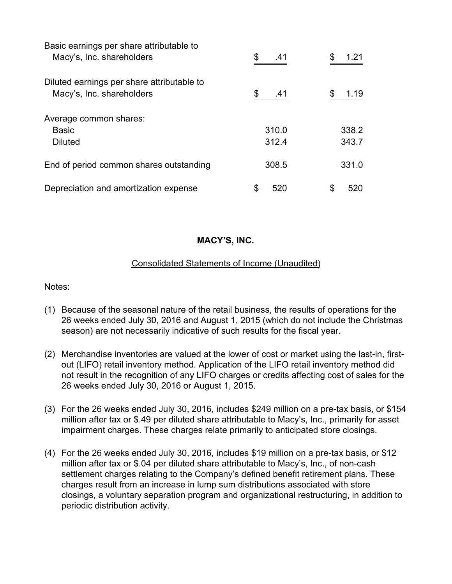| Basic earnings per share attributable to<br>Macy's, Inc. shareholders   | \$<br>.41      | 1.21           |
|-------------------------------------------------------------------------|----------------|----------------|
| Diluted earnings per share attributable to<br>Macy's, Inc. shareholders | \$<br>.41      | 1.19           |
| Average common shares:                                                  |                |                |
| <b>Basic</b><br>Diluted                                                 | 310.0<br>312.4 | 338.2<br>343.7 |
|                                                                         |                |                |
| End of period common shares outstanding                                 | 308.5          | 331.0          |
| Depreciation and amortization expense                                   | 520            | 520            |

## **MACY'S, INC.**

#### Consolidated Statements of Income (Unaudited)

Notes:

- (1) Because of the seasonal nature of the retail business, the results of operations for the 26 weeks ended July 30, 2016 and August 1, 2015 (which do not include the Christmas season) are not necessarily indicative of such results for the fiscal year.
- (2) Merchandise inventories are valued at the lower of cost or market using the last-in, firstout (LIFO) retail inventory method. Application of the LIFO retail inventory method did not result in the recognition of any LIFO charges or credits affecting cost of sales for the 26 weeks ended July 30, 2016 or August 1, 2015.
- (3) For the 26 weeks ended July 30, 2016, includes \$249 million on a pre-tax basis, or \$154 million after tax or \$.49 per diluted share attributable to Macy's, Inc., primarily for asset impairment charges. These charges relate primarily to anticipated store closings.
- (4) For the 26 weeks ended July 30, 2016, includes \$19 million on a pre-tax basis, or \$12 million after tax or \$.04 per diluted share attributable to Macy's, Inc., of non-cash settlement charges relating to the Company's defined benefit retirement plans. These charges result from an increase in lump sum distributions associated with store closings, a voluntary separation program and organizational restructuring, in addition to periodic distribution activity.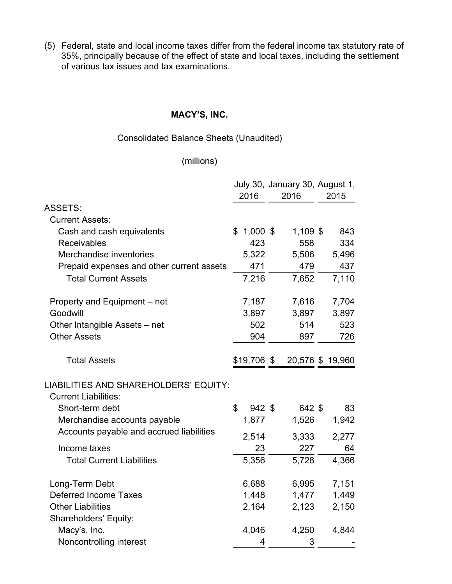(5) Federal, state and local income taxes differ from the federal income tax statutory rate of 35%, principally because of the effect of state and local taxes, including the settlement of various tax issues and tax examinations.

#### **MACY'S, INC.**

#### Consolidated Balance Sheets (Unaudited)

## (millions)

|                                                                      | 2016         | July 30, January 30, August 1,<br>2016 | 2015   |
|----------------------------------------------------------------------|--------------|----------------------------------------|--------|
| <b>ASSETS:</b>                                                       |              |                                        |        |
| <b>Current Assets:</b>                                               |              |                                        |        |
| Cash and cash equivalents                                            | $$1,000$ \$  | 1,109 \$                               | 843    |
| Receivables                                                          | 423          | 558                                    | 334    |
| Merchandise inventories                                              | 5,322        | 5,506                                  | 5,496  |
| Prepaid expenses and other current assets                            | 471          | 479                                    | 437    |
| <b>Total Current Assets</b>                                          | 7,216        | 7,652                                  | 7,110  |
| Property and Equipment - net                                         | 7,187        | 7,616                                  | 7,704  |
| Goodwill                                                             | 3,897        | 3,897                                  | 3,897  |
| Other Intangible Assets - net                                        | 502          | 514                                    | 523    |
| <b>Other Assets</b>                                                  | 904          | 897                                    | 726    |
| <b>Total Assets</b>                                                  | \$19,706 \$  | 20,576 \$                              | 19,960 |
| LIABILITIES AND SHAREHOLDERS' EQUITY:<br><b>Current Liabilities:</b> |              |                                        |        |
| Short-term debt                                                      | \$<br>942 \$ | 642 \$                                 | 83     |
| Merchandise accounts payable                                         | 1,877        | 1,526                                  | 1,942  |
| Accounts payable and accrued liabilities                             | 2,514        | 3,333                                  | 2,277  |
| Income taxes                                                         | 23           | 227                                    | 64     |
| <b>Total Current Liabilities</b>                                     | 5,356        | 5,728                                  | 4,366  |
| Long-Term Debt                                                       | 6,688        | 6,995                                  | 7,151  |
| <b>Deferred Income Taxes</b>                                         | 1,448        | 1,477                                  | 1,449  |
| <b>Other Liabilities</b>                                             | 2,164        | 2,123                                  | 2,150  |
| Shareholders' Equity:                                                |              |                                        |        |
| Macy's, Inc.                                                         | 4,046        | 4,250                                  | 4,844  |
| Noncontrolling interest                                              | 4            | 3                                      |        |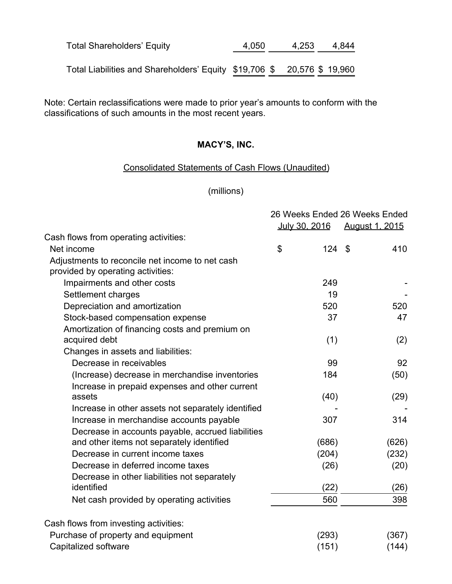| <b>Total Shareholders' Equity</b>                                       | 4.050 | 4.253 | -4.844 |
|-------------------------------------------------------------------------|-------|-------|--------|
| Total Liabilities and Shareholders' Equity \$19,706 \$ 20,576 \$ 19,960 |       |       |        |

Note: Certain reclassifications were made to prior year's amounts to conform with the classifications of such amounts in the most recent years.

## **MACY'S, INC.**

## Consolidated Statements of Cash Flows (Unaudited)

(millions)

|                                                    | 26 Weeks Ended 26 Weeks Ended |       |                       |
|----------------------------------------------------|-------------------------------|-------|-----------------------|
|                                                    | July 30, 2016                 |       | <b>August 1, 2015</b> |
| Cash flows from operating activities:              |                               |       |                       |
| Net income                                         | \$                            | 124   | \$<br>410             |
| Adjustments to reconcile net income to net cash    |                               |       |                       |
| provided by operating activities:                  |                               |       |                       |
| Impairments and other costs                        |                               | 249   |                       |
| Settlement charges                                 |                               | 19    |                       |
| Depreciation and amortization                      |                               | 520   | 520                   |
| Stock-based compensation expense                   |                               | 37    | 47                    |
| Amortization of financing costs and premium on     |                               |       |                       |
| acquired debt                                      |                               | (1)   | (2)                   |
| Changes in assets and liabilities:                 |                               |       |                       |
| Decrease in receivables                            |                               | 99    | 92                    |
| (Increase) decrease in merchandise inventories     |                               | 184   | (50)                  |
| Increase in prepaid expenses and other current     |                               |       |                       |
| assets                                             |                               | (40)  | (29)                  |
| Increase in other assets not separately identified |                               |       |                       |
| Increase in merchandise accounts payable           |                               | 307   | 314                   |
| Decrease in accounts payable, accrued liabilities  |                               |       |                       |
| and other items not separately identified          |                               | (686) | (626)                 |
| Decrease in current income taxes                   |                               | (204) | (232)                 |
| Decrease in deferred income taxes                  |                               | (26)  | (20)                  |
| Decrease in other liabilities not separately       |                               |       |                       |
| identified                                         |                               | (22)  | (26)                  |
| Net cash provided by operating activities          |                               | 560   | 398                   |
| Cash flows from investing activities:              |                               |       |                       |
| Purchase of property and equipment                 |                               | (293) | (367)                 |
| Capitalized software                               |                               | (151) | (144)                 |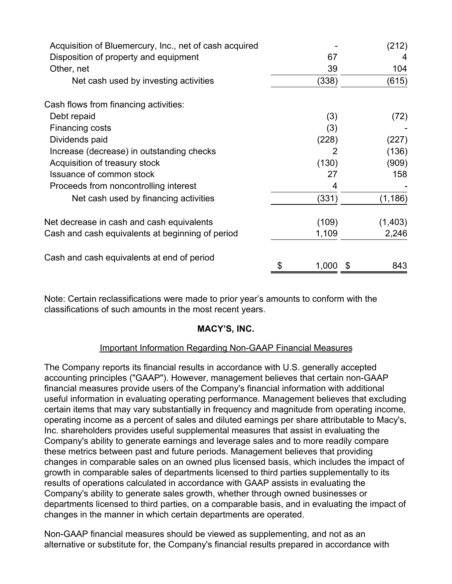| Acquisition of Bluemercury, Inc., net of cash acquired |       | (212)     |
|--------------------------------------------------------|-------|-----------|
| Disposition of property and equipment                  | 67    | 4         |
| Other, net                                             | 39    | 104       |
| Net cash used by investing activities                  | (338) | (615)     |
| Cash flows from financing activities:                  |       |           |
| Debt repaid                                            | (3)   | (72)      |
| Financing costs                                        | (3)   |           |
| Dividends paid                                         | (228) | (227)     |
| Increase (decrease) in outstanding checks              | 2     | (136)     |
| Acquisition of treasury stock                          | (130) | (909)     |
| Issuance of common stock                               | 27    | 158       |
| Proceeds from noncontrolling interest                  | 4     |           |
| Net cash used by financing activities                  | (331) | (1, 186)  |
| Net decrease in cash and cash equivalents              | (109) | (1,403)   |
| Cash and cash equivalents at beginning of period       | 1,109 | 2,246     |
| Cash and cash equivalents at end of period             |       |           |
|                                                        | 1,000 | \$<br>843 |

Note: Certain reclassifications were made to prior year's amounts to conform with the classifications of such amounts in the most recent years.

## **MACY'S, INC.**

## Important Information Regarding Non-GAAP Financial Measures

The Company reports its financial results in accordance with U.S. generally accepted accounting principles ("GAAP"). However, management believes that certain non-GAAP financial measures provide users of the Company's financial information with additional useful information in evaluating operating performance. Management believes that excluding certain items that may vary substantially in frequency and magnitude from operating income, operating income as a percent of sales and diluted earnings per share attributable to Macy's, Inc. shareholders provides useful supplemental measures that assist in evaluating the Company's ability to generate earnings and leverage sales and to more readily compare these metrics between past and future periods. Management believes that providing changes in comparable sales on an owned plus licensed basis, which includes the impact of growth in comparable sales of departments licensed to third parties supplementally to its results of operations calculated in accordance with GAAP assists in evaluating the Company's ability to generate sales growth, whether through owned businesses or departments licensed to third parties, on a comparable basis, and in evaluating the impact of changes in the manner in which certain departments are operated.

Non-GAAP financial measures should be viewed as supplementing, and not as an alternative or substitute for, the Company's financial results prepared in accordance with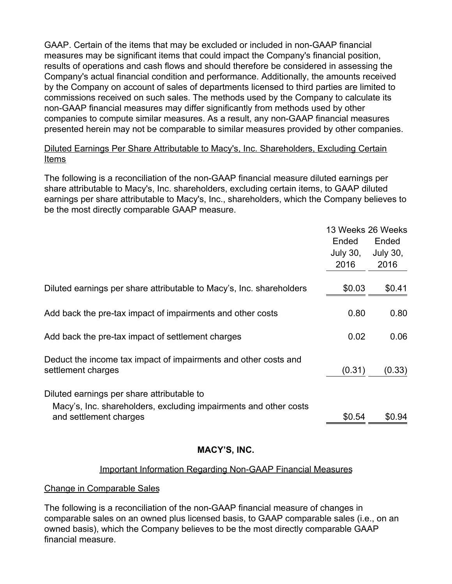GAAP. Certain of the items that may be excluded or included in non-GAAP financial measures may be significant items that could impact the Company's financial position, results of operations and cash flows and should therefore be considered in assessing the Company's actual financial condition and performance. Additionally, the amounts received by the Company on account of sales of departments licensed to third parties are limited to commissions received on such sales. The methods used by the Company to calculate its non-GAAP financial measures may differ significantly from methods used by other companies to compute similar measures. As a result, any non-GAAP financial measures presented herein may not be comparable to similar measures provided by other companies.

## Diluted Earnings Per Share Attributable to Macy's, Inc. Shareholders, Excluding Certain Items

The following is a reconciliation of the non-GAAP financial measure diluted earnings per share attributable to Macy's, Inc. shareholders, excluding certain items, to GAAP diluted earnings per share attributable to Macy's, Inc., shareholders, which the Company believes to be the most directly comparable GAAP measure.

|                                                                                                                                          | 13 Weeks 26 Weeks |                 |
|------------------------------------------------------------------------------------------------------------------------------------------|-------------------|-----------------|
|                                                                                                                                          | Ended             | Ended           |
|                                                                                                                                          | <b>July 30,</b>   | <b>July 30,</b> |
|                                                                                                                                          | 2016              | 2016            |
| Diluted earnings per share attributable to Macy's, Inc. shareholders                                                                     | \$0.03            | \$0.41          |
| Add back the pre-tax impact of impairments and other costs                                                                               | 0.80              | 0.80            |
| Add back the pre-tax impact of settlement charges                                                                                        | 0.02              | 0.06            |
| Deduct the income tax impact of impairments and other costs and<br>settlement charges                                                    | (0.31)            | (0.33)          |
| Diluted earnings per share attributable to<br>Macy's, Inc. shareholders, excluding impairments and other costs<br>and settlement charges | \$0.54            | \$0.94          |
|                                                                                                                                          |                   |                 |

## **MACY'S, INC.**

#### Important Information Regarding Non-GAAP Financial Measures

#### Change in Comparable Sales

The following is a reconciliation of the non-GAAP financial measure of changes in comparable sales on an owned plus licensed basis, to GAAP comparable sales (i.e., on an owned basis), which the Company believes to be the most directly comparable GAAP financial measure.